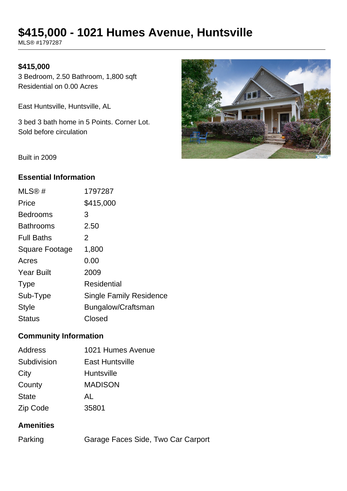# **\$415,000 - 1021 Humes Avenue, Huntsville**

MLS® #1797287

## **\$415,000**

3 Bedroom, 2.50 Bathroom, 1,800 sqft Residential on 0.00 Acres

East Huntsville, Huntsville, AL

3 bed 3 bath home in 5 Points. Corner Lot. Sold before circulation



Built in 2009

## **Essential Information**

| MLS@#                 | 1797287                        |
|-----------------------|--------------------------------|
| Price                 | \$415,000                      |
| <b>Bedrooms</b>       | 3                              |
| <b>Bathrooms</b>      | 2.50                           |
| <b>Full Baths</b>     | 2                              |
| <b>Square Footage</b> | 1,800                          |
| Acres                 | 0.00                           |
| <b>Year Built</b>     | 2009                           |
| <b>Type</b>           | Residential                    |
| Sub-Type              | <b>Single Family Residence</b> |
| <b>Style</b>          | Bungalow/Craftsman             |
| Status                | Closed                         |

# **Community Information**

| <b>Address</b> | 1021 Humes Avenue      |
|----------------|------------------------|
| Subdivision    | <b>East Huntsville</b> |
| City           | <b>Huntsville</b>      |
| County         | <b>MADISON</b>         |
| <b>State</b>   | AL                     |
| Zip Code       | 35801                  |

#### **Amenities**

| Parking | Garage Faces Side, Two Car Carport |  |
|---------|------------------------------------|--|
|         |                                    |  |
|         |                                    |  |